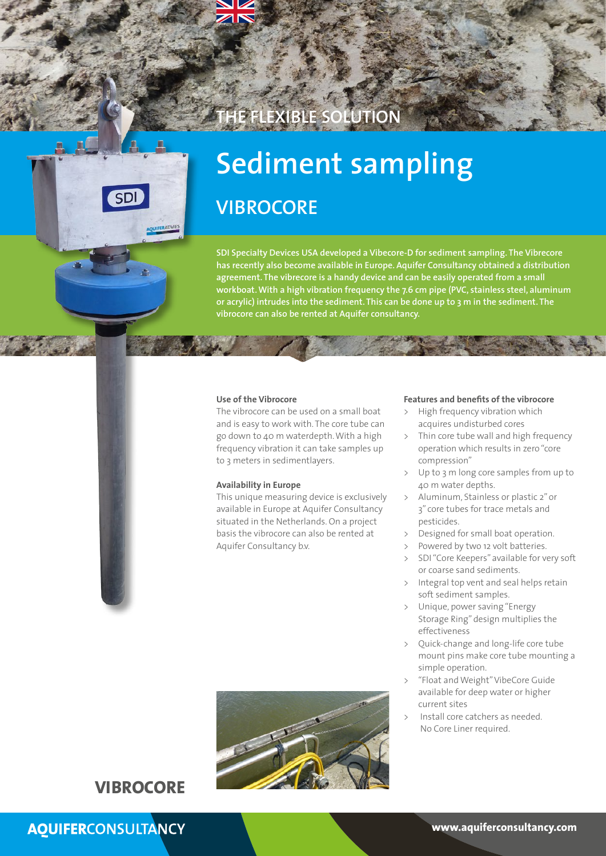# **THE FLEXIBLE SOLUTION**



# **Sediment sampling VIBROCORE**

**SDI Specialty Devices USA developed a Vibecore-D for sediment sampling. The Vibrecore has recently also become available in Europe. Aquifer Consultancy obtained a distribution agreement. The vibrecore is a handy device and can be easily operated from a small workboat. With a high vibration frequency the 7.6 cm pipe (PVC, stainless steel, aluminum or acrylic) intrudes into the sediment. This can be done up to 3 m in the sediment. The vibrocore can also be rented at Aquifer consultancy.**

#### **Use of the Vibrocore**

The vibrocore can be used on a small boat and is easy to work with. The core tube can go down to 40 m waterdepth. With a high frequency vibration it can take samples up to 3 meters in sedimentlayers.

## **Availability in Europe**

This unique measuring device is exclusively available in Europe at Aquifer Consultancy situated in the Netherlands. On a project basis the vibrocore can also be rented at Aquifer Consultancy b.v.

### **Features and benefits of the vibrocore**

- > High frequency vibration which acquires undisturbed cores
- > Thin core tube wall and high frequency operation which results in zero "core compression"
- > Up to 3 m long core samples from up to 40 m water depths.
- > Aluminum, Stainless or plastic 2" or 3" core tubes for trace metals and pesticides.
- Designed for small boat operation.
- Powered by two 12 volt batteries.
- > SDI "Core Keepers" available for very soft or coarse sand sediments.
- Integral top vent and seal helps retain soft sediment samples.
- Unique, power saving "Energy Storage Ring" design multiplies the effectiveness
- > Quick-change and long-life core tube mount pins make core tube mounting a simple operation.
- > "Float and Weight" VibeCore Guide available for deep water or higher current sites
- Install core catchers as needed. No Core Liner required.



## **VIBROCORE**